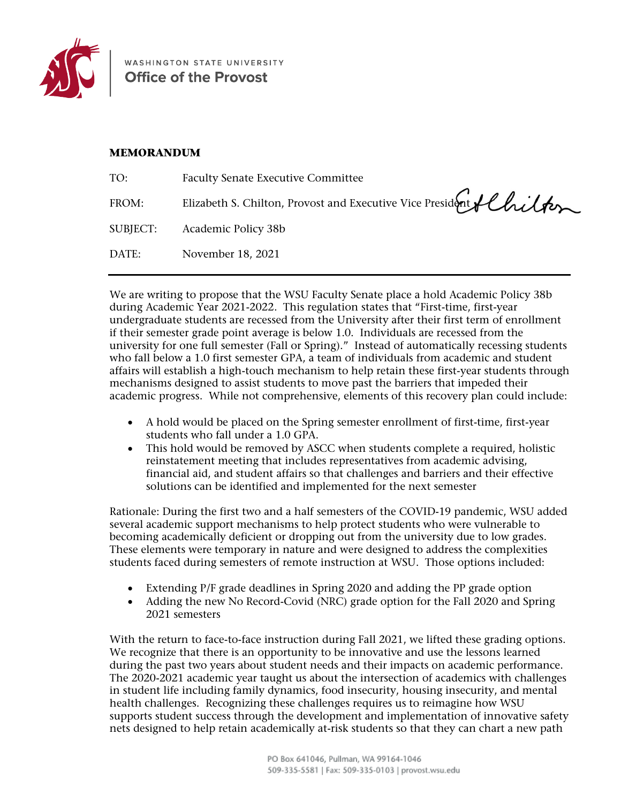

WASHINGTON STATE UNIVERSITY **Office of the Provost** 

## **MEMORANDUM**

| TO:      | <b>Faculty Senate Executive Committee</b>                        |
|----------|------------------------------------------------------------------|
| FROM:    | Elizabeth S. Chilton, Provost and Executive Vice President fluit |
| SUBJECT: | Academic Policy 38b                                              |
| DATE:    | November 18, 2021                                                |

We are writing to propose that the WSU Faculty Senate place a hold Academic Policy 38b during Academic Year 2021-2022. This regulation states that "First-time, first-year undergraduate students are recessed from the University after their first term of enrollment if their semester grade point average is below 1.0. Individuals are recessed from the university for one full semester (Fall or Spring)." Instead of automatically recessing students who fall below a 1.0 first semester GPA, a team of individuals from academic and student affairs will establish a high-touch mechanism to help retain these first-year students through mechanisms designed to assist students to move past the barriers that impeded their academic progress. While not comprehensive, elements of this recovery plan could include:

- A hold would be placed on the Spring semester enrollment of first-time, first-year students who fall under a 1.0 GPA.
- This hold would be removed by ASCC when students complete a required, holistic reinstatement meeting that includes representatives from academic advising, financial aid, and student affairs so that challenges and barriers and their effective solutions can be identified and implemented for the next semester

Rationale: During the first two and a half semesters of the COVID-19 pandemic, WSU added several academic support mechanisms to help protect students who were vulnerable to becoming academically deficient or dropping out from the university due to low grades. These elements were temporary in nature and were designed to address the complexities students faced during semesters of remote instruction at WSU. Those options included:

- Extending P/F grade deadlines in Spring 2020 and adding the PP grade option
- Adding the new No Record-Covid (NRC) grade option for the Fall 2020 and Spring 2021 semesters

With the return to face-to-face instruction during Fall 2021, we lifted these grading options. We recognize that there is an opportunity to be innovative and use the lessons learned during the past two years about student needs and their impacts on academic performance. The 2020-2021 academic year taught us about the intersection of academics with challenges in student life including family dynamics, food insecurity, housing insecurity, and mental health challenges. Recognizing these challenges requires us to reimagine how WSU supports student success through the development and implementation of innovative safety nets designed to help retain academically at-risk students so that they can chart a new path